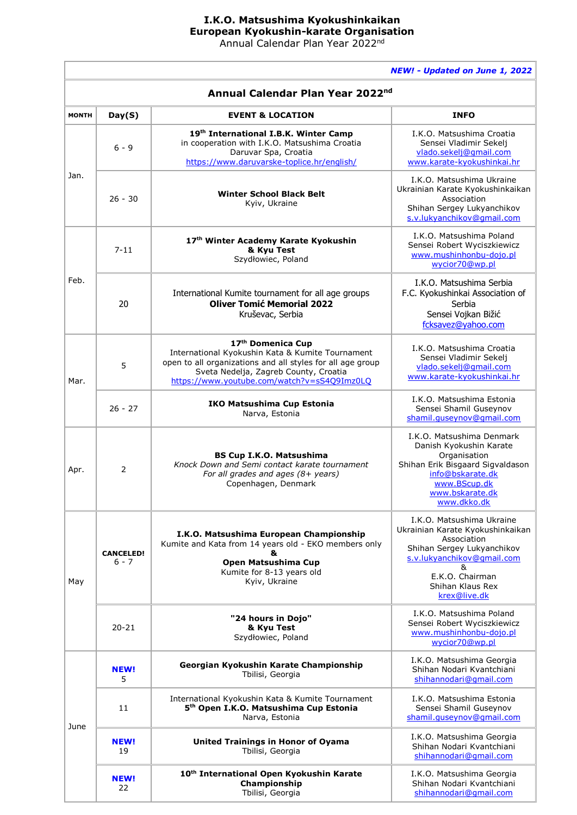## **I.K.O. Matsushima Kyokushinkaikan European Kyokushin-karate Organisation** Annual Calendar Plan Year 2022<sup>nd</sup>

*NEW! - Updated on June 1, 2022*

| Annual Calendar Plan Year 2022 <sup>nd</sup> |                             |                                                                                                                                                                                                                             |                                                                                                                                                                                                      |  |  |
|----------------------------------------------|-----------------------------|-----------------------------------------------------------------------------------------------------------------------------------------------------------------------------------------------------------------------------|------------------------------------------------------------------------------------------------------------------------------------------------------------------------------------------------------|--|--|
| <b>MONTH</b>                                 | Day(S)                      | <b>EVENT &amp; LOCATION</b>                                                                                                                                                                                                 | <b>INFO</b>                                                                                                                                                                                          |  |  |
| Jan.                                         | $6 - 9$                     | 19th International I.B.K. Winter Camp<br>in cooperation with I.K.O. Matsushima Croatia<br>Daruvar Spa, Croatia<br>https://www.daruvarske-toplice.hr/english/                                                                | I.K.O. Matsushima Croatia<br>Sensei Vladimir Sekelj<br>vlado.sekelj@gmail.com<br>www.karate-kyokushinkai.hr                                                                                          |  |  |
|                                              | $26 - 30$                   | <b>Winter School Black Belt</b><br>Kyiv, Ukraine                                                                                                                                                                            | I.K.O. Matsushima Ukraine<br>Ukrainian Karate Kyokushinkaikan<br>Association<br>Shihan Sergey Lukyanchikov<br>s.v.lukyanchikov@qmail.com                                                             |  |  |
| Feb.                                         | $7 - 11$                    | 17th Winter Academy Karate Kyokushin<br>& Kyu Test<br>Szydłowiec, Poland                                                                                                                                                    | I.K.O. Matsushima Poland<br>Sensei Robert Wyciszkiewicz<br>www.mushinhonbu-dojo.pl<br>wycior70@wp.pl                                                                                                 |  |  |
|                                              | 20                          | International Kumite tournament for all age groups<br><b>Oliver Tomić Memorial 2022</b><br>Kruševac, Serbia                                                                                                                 | I.K.O. Matsushima Serbia<br>F.C. Kyokushinkai Association of<br>Serbia<br>Sensei Vojkan Bižić<br>fcksavez@yahoo.com                                                                                  |  |  |
| Mar.                                         | 5                           | 17th Domenica Cup<br>International Kyokushin Kata & Kumite Tournament<br>open to all organizations and all styles for all age group<br>Sveta Nedelja, Zagreb County, Croatia<br>https://www.youtube.com/watch?v=sS4Q9Imz0LQ | I.K.O. Matsushima Croatia<br>Sensei Vladimir Sekelj<br>vlado.sekelj@gmail.com<br>www.karate-kyokushinkai.hr                                                                                          |  |  |
|                                              | $26 - 27$                   | <b>IKO Matsushima Cup Estonia</b><br>Narva, Estonia                                                                                                                                                                         | I.K.O. Matsushima Estonia<br>Sensei Shamil Guseynov<br>shamil.quseynov@qmail.com                                                                                                                     |  |  |
| Apr.                                         | 2                           | <b>BS Cup I.K.O. Matsushima</b><br>Knock Down and Semi contact karate tournament<br>For all grades and ages (8+ years)<br>Copenhagen, Denmark                                                                               | I.K.O. Matsushima Denmark<br>Danish Kyokushin Karate<br>Organisation<br>Shihan Erik Bisgaard Sigvaldason<br>info@bskarate.dk<br>www.BScup.dk<br>www.bskarate.dk<br>www.dkko.dk                       |  |  |
| May                                          | <b>CANCELED!</b><br>$6 - 7$ | I.K.O. Matsushima European Championship<br>Kumite and Kata from 14 years old - EKO members only<br>&<br>Open Matsushima Cup<br>Kumite for 8-13 years old<br>Kyiv, Ukraine                                                   | I.K.O. Matsushima Ukraine<br>Ukrainian Karate Kyokushinkaikan<br>Association<br>Shihan Sergey Lukyanchikov<br>s.v.lukyanchikov@qmail.com<br>&<br>E.K.O. Chairman<br>Shihan Klaus Rex<br>krex@live.dk |  |  |
|                                              | $20 - 21$                   | "24 hours in Dojo"<br>& Kyu Test<br>Szydłowiec, Poland                                                                                                                                                                      | I.K.O. Matsushima Poland<br>Sensei Robert Wyciszkiewicz<br>www.mushinhonbu-dojo.pl<br>wycior70@wp.pl                                                                                                 |  |  |
| June                                         | <b>NEW!</b><br>5            | Georgian Kyokushin Karate Championship<br>Tbilisi, Georgia                                                                                                                                                                  | I.K.O. Matsushima Georgia<br>Shihan Nodari Kvantchiani<br>shihannodari@qmail.com                                                                                                                     |  |  |
|                                              | 11                          | International Kyokushin Kata & Kumite Tournament<br>5 <sup>th</sup> Open I.K.O. Matsushima Cup Estonia<br>Narva, Estonia                                                                                                    | I.K.O. Matsushima Estonia<br>Sensei Shamil Guseynov<br>shamil.quseynov@qmail.com                                                                                                                     |  |  |
|                                              | <b>NEW!</b><br>19           | <b>United Trainings in Honor of Oyama</b><br>Tbilisi, Georgia                                                                                                                                                               | I.K.O. Matsushima Georgia<br>Shihan Nodari Kvantchiani<br>shihannodari@gmail.com                                                                                                                     |  |  |
|                                              | <b>NEW!</b><br>22           | 10 <sup>th</sup> International Open Kyokushin Karate<br>Championship<br>Tbilisi, Georgia                                                                                                                                    | I.K.O. Matsushima Georgia<br>Shihan Nodari Kvantchiani<br>shihannodari@gmail.com                                                                                                                     |  |  |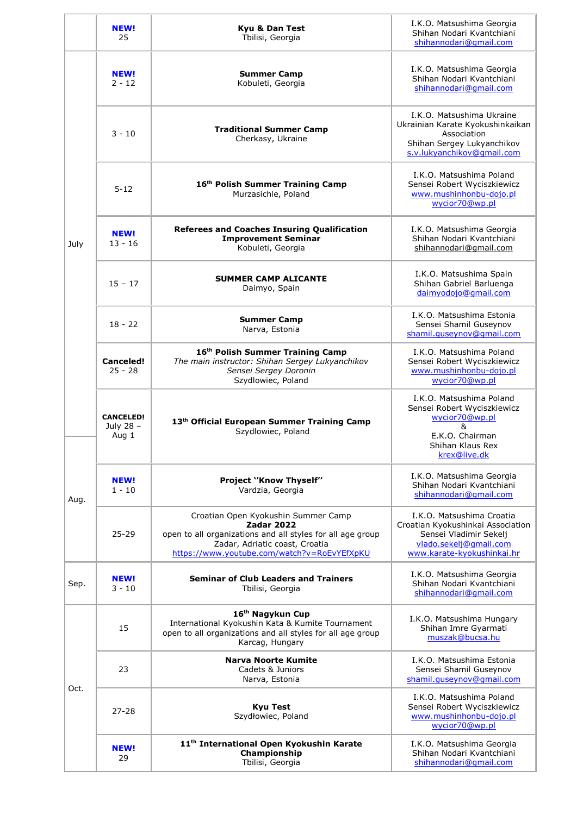|              | <b>NEW!</b><br>25                      | Kyu & Dan Test<br>Tbilisi, Georgia                                                                                                                                                                      | I.K.O. Matsushima Georgia<br>Shihan Nodari Kvantchiani<br>shihannodari@gmail.com                                                                 |
|--------------|----------------------------------------|---------------------------------------------------------------------------------------------------------------------------------------------------------------------------------------------------------|--------------------------------------------------------------------------------------------------------------------------------------------------|
| July<br>Aug. | <b>NEW!</b><br>$2 - 12$                | <b>Summer Camp</b><br>Kobuleti, Georgia                                                                                                                                                                 | I.K.O. Matsushima Georgia<br>Shihan Nodari Kvantchiani<br>shihannodari@gmail.com                                                                 |
|              | $3 - 10$                               | <b>Traditional Summer Camp</b><br>Cherkasy, Ukraine                                                                                                                                                     | I.K.O. Matsushima Ukraine<br>Ukrainian Karate Kyokushinkaikan<br>Association<br>Shihan Sergey Lukyanchikov<br>s.v.lukyanchikov@qmail.com         |
|              | $5 - 12$                               | 16th Polish Summer Training Camp<br>Murzasichle, Poland                                                                                                                                                 | I.K.O. Matsushima Poland<br>Sensei Robert Wyciszkiewicz<br>www.mushinhonbu-dojo.pl<br>wycior70@wp.pl                                             |
|              | <b>NEW!</b><br>$13 - 16$               | <b>Referees and Coaches Insuring Qualification</b><br><b>Improvement Seminar</b><br>Kobuleti, Georgia                                                                                                   | I.K.O. Matsushima Georgia<br>Shihan Nodari Kvantchiani<br>shihannodari@gmail.com                                                                 |
|              | $15 - 17$                              | <b>SUMMER CAMP ALICANTE</b><br>Daimyo, Spain                                                                                                                                                            | I.K.O. Matsushima Spain<br>Shihan Gabriel Barluenga<br>daimyodojo@gmail.com                                                                      |
|              | $18 - 22$                              | <b>Summer Camp</b><br>Narva, Estonia                                                                                                                                                                    | I.K.O. Matsushima Estonia<br>Sensei Shamil Guseynov<br>shamil.quseynov@qmail.com                                                                 |
|              | <b>Canceled!</b><br>$25 - 28$          | 16th Polish Summer Training Camp<br>The main instructor: Shihan Sergey Lukyanchikov<br>Sensei Sergey Doronin<br>Szydlowiec, Poland                                                                      | I.K.O. Matsushima Poland<br>Sensei Robert Wyciszkiewicz<br>www.mushinhonbu-dojo.pl<br>wycior70@wp.pl                                             |
|              | <b>CANCELED!</b><br>July 28 -<br>Aug 1 | 13th Official European Summer Training Camp<br>Szydlowiec, Poland                                                                                                                                       | I.K.O. Matsushima Poland<br>Sensei Robert Wyciszkiewicz<br>wycior70@wp.pl<br>&<br>E.K.O. Chairman<br>Shihan Klaus Rex<br>krex@live.dk            |
|              | <b>NEW!</b><br>$1 - 10$                | <b>Project 'Know Thyself"</b><br>Vardzia, Georgia                                                                                                                                                       | I.K.O. Matsushima Georgia<br>Shihan Nodari Kvantchiani<br>shihannodari@qmail.com                                                                 |
|              | $25 - 29$                              | Croatian Open Kyokushin Summer Camp<br><b>Zadar 2022</b><br>open to all organizations and all styles for all age group<br>Zadar, Adriatic coast, Croatia<br>https://www.youtube.com/watch?v=RoEvYEfXpKU | I.K.O. Matsushima Croatia<br>Croatian Kyokushinkai Association<br>Sensei Vladimir Sekelj<br>vlado.sekelj@gmail.com<br>www.karate-kyokushinkai.hr |
| Sep.         | <b>NEW!</b><br>$3 - 10$                | <b>Seminar of Club Leaders and Trainers</b><br>Tbilisi, Georgia                                                                                                                                         | I.K.O. Matsushima Georgia<br>Shihan Nodari Kvantchiani<br>shihannodari@gmail.com                                                                 |
| Oct.         | 15                                     | 16 <sup>th</sup> Nagykun Cup<br>International Kyokushin Kata & Kumite Tournament<br>open to all organizations and all styles for all age group<br>Karcag, Hungary                                       | I.K.O. Matsushima Hungary<br>Shihan Imre Gyarmati<br>muszak@bucsa.hu                                                                             |
|              | 23                                     | <b>Narva Noorte Kumite</b><br>Cadets & Juniors<br>Narva, Estonia                                                                                                                                        | I.K.O. Matsushima Estonia<br>Sensei Shamil Guseynov<br>shamil.quseynov@qmail.com                                                                 |
|              | $27 - 28$                              | <b>Kyu Test</b><br>Szydłowiec, Poland                                                                                                                                                                   | I.K.O. Matsushima Poland<br>Sensei Robert Wyciszkiewicz<br>www.mushinhonbu-dojo.pl<br>wycior70@wp.pl                                             |
|              | <b>NEW!</b><br>29                      | 11 <sup>th</sup> International Open Kyokushin Karate<br>Championship<br>Tbilisi, Georgia                                                                                                                | I.K.O. Matsushima Georgia<br>Shihan Nodari Kvantchiani<br>shihannodari@gmail.com                                                                 |